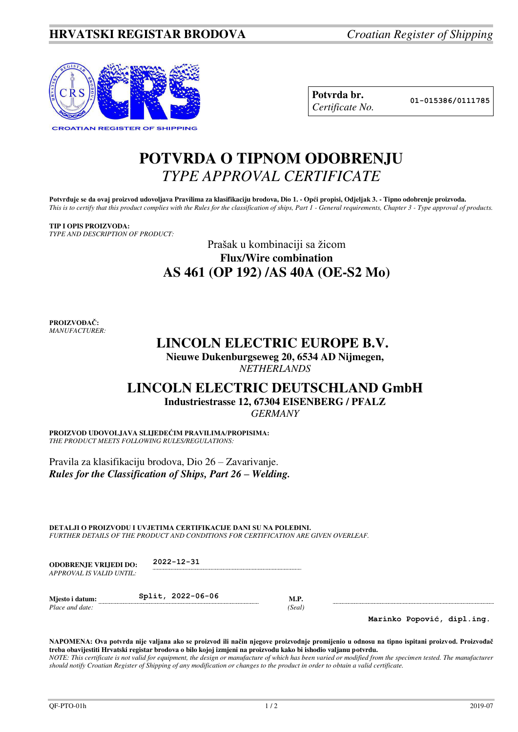

| Potvrda br.     |
|-----------------|
| Certificate No. |

**Potvrda br. 01-015386/0111785**

# **POTVRDA O TIPNOM ODOBRENJU**  *TYPE APPROVAL CERTIFICATE*

**Potvrđuje se da ovaj proizvod udovoljava Pravilima za klasifikaciju brodova, Dio 1. - Opći propisi, Odjeljak 3. - Tipno odobrenje proizvoda.**  *This is to certify that this product complies with the Rules for the classification of ships, Part 1 - General requirements, Chapter 3 - Type approval of products.* 

#### **TIP I OPIS PROIZVODA:**

*TYPE AND DESCRIPTION OF PRODUCT:* 

### Prašak u kombinaciji sa žicom **Flux/Wire combination AS 461 (OP 192) /AS 40A (OE-S2 Mo)**

**PROIZVOĐAČ:** *MANUFACTURER:*

## **LINCOLN ELECTRIC EUROPE B.V.**

**Nieuwe Dukenburgseweg 20, 6534 AD Nijmegen,**  *NETHERLANDS* 

# **LINCOLN ELECTRIC DEUTSCHLAND GmbH Industriestrasse 12, 67304 EISENBERG / PFALZ**

*GERMANY* 

**PROIZVOD UDOVOLJAVA SLIJEDEĆIM PRAVILIMA/PROPISIMA:** *THE PRODUCT MEETS FOLLOWING RULES/REGULATIONS:* 

Pravila za klasifikaciju brodova, Dio 26 – Zavarivanje. *Rules for the Classification of Ships, Part 26 – Welding.*

**DETALJI O PROIZVODU I UVJETIMA CERTIFIKACIJE DANI SU NA POLEĐINI.**  *FURTHER DETAILS OF THE PRODUCT AND CONDITIONS FOR CERTIFICATION ARE GIVEN OVERLEAF.* 

| <b>ODOBRENJE VRLIEDI DO:</b> | $2022 - 12 - 31$ |
|------------------------------|------------------|
| APPROVAL IS VALID UNTIL:     |                  |

| Miesto i datum: | Split, 2022-06-06 |       |
|-----------------|-------------------|-------|
| Place and date: |                   | Seal) |

**Marinko Popović, dipl.ing.**

**NAPOMENA: Ova potvrda nije valjana ako se proizvod ili način njegove proizvodnje promijenio u odnosu na tipno ispitani proizvod. Proizvođač treba obavijestiti Hrvatski registar brodova o bilo kojoj izmjeni na proizvodu kako bi ishodio valjanu potvrdu.**  *NOTE: This certificate is not valid for equipment, the design or manufacture of which has been varied or modified from the specimen tested. The manufacturer should notify Croatian Register of Shipping of any modification or changes to the product in order to obtain a valid certificate.*